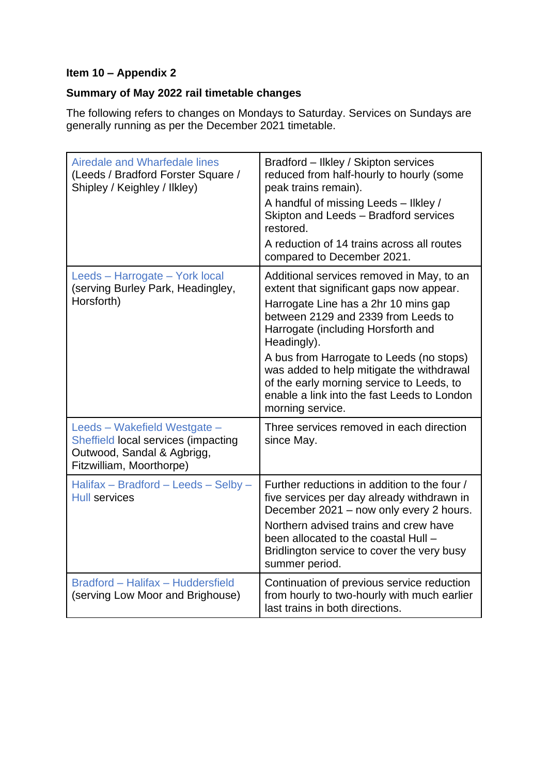## **Item 10 – Appendix 2**

## **Summary of May 2022 rail timetable changes**

The following refers to changes on Mondays to Saturday. Services on Sundays are generally running as per the December 2021 timetable.

| <b>Airedale and Wharfedale lines</b><br>(Leeds / Bradford Forster Square /<br>Shipley / Keighley / Ilkley)                    | Bradford - Ilkley / Skipton services<br>reduced from half-hourly to hourly (some<br>peak trains remain).<br>A handful of missing Leeds - likley /<br>Skipton and Leeds - Bradford services<br>restored.<br>A reduction of 14 trains across all routes<br>compared to December 2021.                                                                                                                                                |
|-------------------------------------------------------------------------------------------------------------------------------|------------------------------------------------------------------------------------------------------------------------------------------------------------------------------------------------------------------------------------------------------------------------------------------------------------------------------------------------------------------------------------------------------------------------------------|
| Leeds - Harrogate - York local<br>(serving Burley Park, Headingley,<br>Horsforth)                                             | Additional services removed in May, to an<br>extent that significant gaps now appear.<br>Harrogate Line has a 2hr 10 mins gap<br>between 2129 and 2339 from Leeds to<br>Harrogate (including Horsforth and<br>Headingly).<br>A bus from Harrogate to Leeds (no stops)<br>was added to help mitigate the withdrawal<br>of the early morning service to Leeds, to<br>enable a link into the fast Leeds to London<br>morning service. |
| Leeds - Wakefield Westgate -<br>Sheffield local services (impacting<br>Outwood, Sandal & Agbrigg,<br>Fitzwilliam, Moorthorpe) | Three services removed in each direction<br>since May.                                                                                                                                                                                                                                                                                                                                                                             |
| Halifax - Bradford - Leeds - Selby -<br>Hull services                                                                         | Further reductions in addition to the four /<br>five services per day already withdrawn in<br>December 2021 - now only every 2 hours.<br>Northern advised trains and crew have<br>been allocated to the coastal Hull -<br>Bridlington service to cover the very busy<br>summer period.                                                                                                                                             |
| Bradford - Halifax - Huddersfield<br>(serving Low Moor and Brighouse)                                                         | Continuation of previous service reduction<br>from hourly to two-hourly with much earlier<br>last trains in both directions.                                                                                                                                                                                                                                                                                                       |